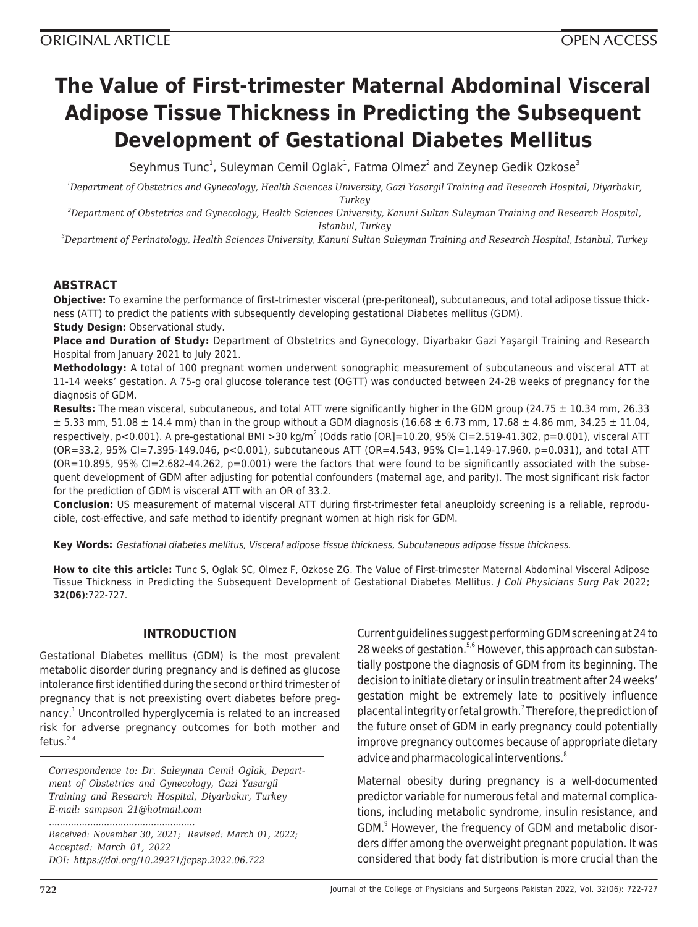# **The Value of First-trimester Maternal Abdominal Visceral Adipose Tissue Thickness in Predicting the Subsequent Development of Gestational Diabetes Mellitus**

Seyhmus Tunc<sup>1</sup>, Suleyman Cemil Oglak<sup>1</sup>, Fatma Olmez<sup>2</sup> and Zeynep Gedik Ozkose<sup>3</sup>

*<sup>1</sup>Department of Obstetrics and Gynecology, Health Sciences University, Gazi Yasargil Training and Research Hospital, Diyarbakir, Turkey*

*<sup>2</sup>Department of Obstetrics and Gynecology, Health Sciences University, Kanuni Sultan Suleyman Training and Research Hospital, Istanbul, Turkey*

*<sup>3</sup>Department of Perinatology, Health Sciences University, Kanuni Sultan Suleyman Training and Research Hospital, Istanbul, Turkey*

## **ABSTRACT**

**Objective:** To examine the performance of first-trimester visceral (pre-peritoneal), subcutaneous, and total adipose tissue thickness (ATT) to predict the patients with subsequently developing gestational Diabetes mellitus (GDM). **Study Design:** Observational study.

**Place and Duration of Study:** Department of Obstetrics and Gynecology, Diyarbakır Gazi Yaşargil Training and Research Hospital from January 2021 to July 2021.

**Methodology:** A total of 100 pregnant women underwent sonographic measurement of subcutaneous and visceral ATT at 11-14 weeks' gestation. A 75-g oral glucose tolerance test (OGTT) was conducted between 24-28 weeks of pregnancy for the diagnosis of GDM.

**Results:** The mean visceral, subcutaneous, and total ATT were significantly higher in the GDM group (24.75 ± 10.34 mm, 26.33  $\pm$  5.33 mm, 51.08  $\pm$  14.4 mm) than in the group without a GDM diagnosis (16.68  $\pm$  6.73 mm, 17.68  $\pm$  4.86 mm, 34.25  $\pm$  11.04, respectively, p<0.001). A pre-gestational BMI >30 kg/m<sup>2</sup> (Odds ratio [OR]=10.20, 95% CI=2.519-41.302, p=0.001), visceral ATT (OR=33.2, 95% CI=7.395-149.046, p<0.001), subcutaneous ATT (OR=4.543, 95% CI=1.149-17.960, p=0.031), and total ATT  $(OR=10.895, 95\% CI=2.682-44.262, p=0.001)$  were the factors that were found to be significantly associated with the subsequent development of GDM after adjusting for potential confounders (maternal age, and parity). The most significant risk factor for the prediction of GDM is visceral ATT with an OR of 33.2.

**Conclusion:** US measurement of maternal visceral ATT during first-trimester fetal aneuploidy screening is a reliable, reproducible, cost-effective, and safe method to identify pregnant women at high risk for GDM.

**Key Words:** Gestational diabetes mellitus, Visceral adipose tissue thickness, Subcutaneous adipose tissue thickness.

**How to cite this article:** Tunc S, Oglak SC, Olmez F, Ozkose ZG. The Value of First-trimester Maternal Abdominal Visceral Adipose Tissue Thickness in Predicting the Subsequent Development of Gestational Diabetes Mellitus. J Coll Physicians Surg Pak 2022; **32(06)**:722-727.

## **INTRODUCTION**

Gestational Diabetes mellitus (GDM) is the most prevalent metabolic disorder during pregnancy and is defined as glucose intolerance first identified during the second or third trimester of pregnancy that is not preexisting overt diabetes before pregnancy.<sup>1</sup> Uncontrolled hyperglycemia is related to an increased risk for adverse pregnancy outcomes for both mother and fetus. $2-4$ 

*Correspondence to: Dr. Suleyman Cemil Oglak, Department of Obstetrics and Gynecology, Gazi Yasargil Training and Research Hospital, Diyarbakır, Turkey E-mail: sampson\_21@hotmail.com*

*Received: November 30, 2021; Revised: March 01, 2022; Accepted: March 01, 2022 DOI: https://doi.org/10.29271/jcpsp.2022.06.722*

*.....................................................*

Current guidelines suggest performing GDM screening at 24 to 28 weeks of gestation.<sup>5,6</sup> However, this approach can substantially postpone the diagnosis of GDM from its beginning. The decision to initiate dietary or insulin treatment after 24 weeks' gestation might be extremely late to positively influence placental integrity or fetal growth.<sup>7</sup> Therefore, the prediction of the future onset of GDM in early pregnancy could potentially improve pregnancy outcomes because of appropriate dietary advice and pharmacological interventions.<sup>8</sup>

Maternal obesity during pregnancy is a well-documented predictor variable for numerous fetal and maternal complications, including metabolic syndrome, insulin resistance, and GDM.<sup>9</sup> However, the frequency of GDM and metabolic disorders differ among the overweight pregnant population. It was considered that body fat distribution is more crucial than the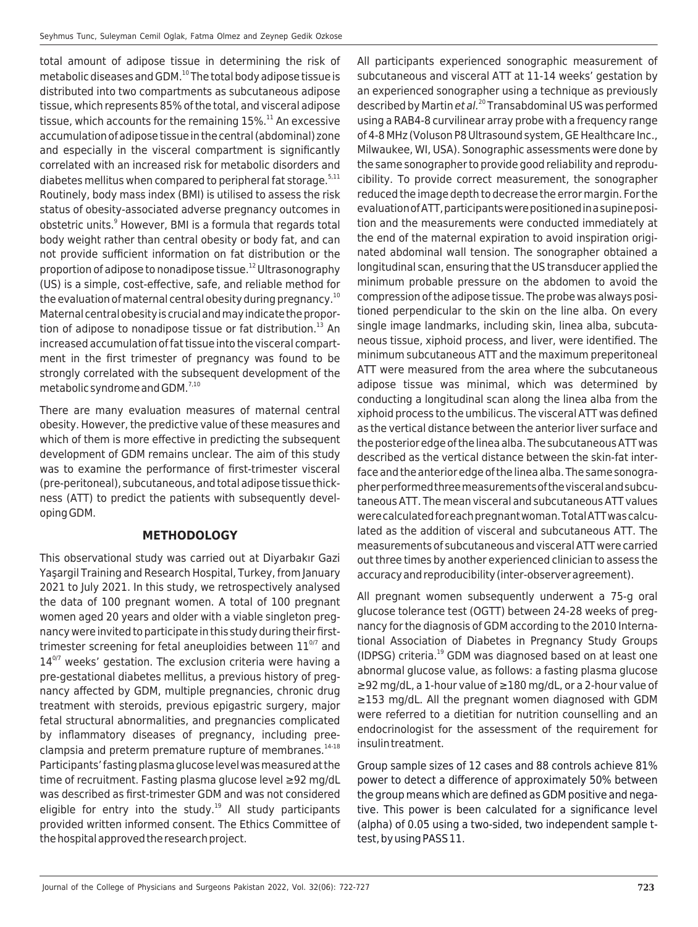total amount of adipose tissue in determining the risk of metabolic diseases and GDM.<sup>10</sup> The total body adipose tissue is distributed into two compartments as subcutaneous adipose tissue, which represents 85% of the total, and visceral adipose tissue, which accounts for the remaining  $15\%$ .<sup>11</sup> An excessive accumulation of adipose tissue in the central (abdominal) zone and especially in the visceral compartment is significantly correlated with an increased risk for metabolic disorders and diabetes mellitus when compared to peripheral fat storage. $5,11$ Routinely, body mass index (BMI) is utilised to assess the risk status of obesity-associated adverse pregnancy outcomes in obstetric units.<sup>9</sup> However, BMI is a formula that regards total body weight rather than central obesity or body fat, and can not provide sufficient information on fat distribution or the proportion of adipose to nonadipose tissue.<sup>12</sup> Ultrasonography (US) is a simple, cost-effective, safe, and reliable method for the evaluation of maternal central obesity during pregnancy.<sup>10</sup> Maternal central obesity is crucial and may indicate the proportion of adipose to nonadipose tissue or fat distribution. $^{13}$  An increased accumulation of fat tissue into the visceral compartment in the first trimester of pregnancy was found to be strongly correlated with the subsequent development of the metabolic syndrome and GDM.<sup>7,10</sup>

There are many evaluation measures of maternal central obesity. However, the predictive value of these measures and which of them is more effective in predicting the subsequent development of GDM remains unclear. The aim of this study was to examine the performance of first-trimester visceral (pre-peritoneal), subcutaneous, and total adipose tissue thickness (ATT) to predict the patients with subsequently developing GDM.

## **METHODOLOGY**

This observational study was carried out at Diyarbakır Gazi Yaşargil Training and Research Hospital, Turkey, from January 2021 to July 2021. In this study, we retrospectively analysed the data of 100 pregnant women. A total of 100 pregnant women aged 20 years and older with a viable singleton pregnancy were invited to participate in this study during their firsttrimester screening for fetal aneuploidies between  $11^{0/7}$  and  $14^{0/7}$  weeks' gestation. The exclusion criteria were having a pre-gestational diabetes mellitus, a previous history of pregnancy affected by GDM, multiple pregnancies, chronic drug treatment with steroids, previous epigastric surgery, major fetal structural abnormalities, and pregnancies complicated by inflammatory diseases of pregnancy, including preeclampsia and preterm premature rupture of membranes.<sup>14-18</sup> Participants' fasting plasma glucose level was measured at the time of recruitment. Fasting plasma glucose level ≥92 mg/dL was described as first-trimester GDM and was not considered eligible for entry into the study.<sup>19</sup> All study participants provided written informed consent. The Ethics Committee of the hospital approved the research project.

All participants experienced sonographic measurement of subcutaneous and visceral ATT at 11-14 weeks' gestation by an experienced sonographer using a technique as previously described by Martin et al. $^{20}$  Transabdominal US was performed using a RAB4-8 curvilinear array probe with a frequency range of 4-8 MHz (Voluson P8 Ultrasound system, GE Healthcare Inc., Milwaukee, WI, USA). Sonographic assessments were done by the same sonographer to provide good reliability and reproducibility. To provide correct measurement, the sonographer reduced the image depth to decrease the error margin. For the evaluation of ATT, participants were positioned in a supine position and the measurements were conducted immediately at the end of the maternal expiration to avoid inspiration originated abdominal wall tension. The sonographer obtained a longitudinal scan, ensuring that the US transducer applied the minimum probable pressure on the abdomen to avoid the compression of the adipose tissue. The probe was always positioned perpendicular to the skin on the line alba. On every single image landmarks, including skin, linea alba, subcutaneous tissue, xiphoid process, and liver, were identified. The minimum subcutaneous ATT and the maximum preperitoneal ATT were measured from the area where the subcutaneous adipose tissue was minimal, which was determined by conducting a longitudinal scan along the linea alba from the xiphoid process to the umbilicus. The visceral ATT was defined as the vertical distance between the anterior liver surface and the posterior edge of the linea alba. The subcutaneous ATT was described as the vertical distance between the skin-fat interface and the anterior edge of the linea alba. The same sonographer performed three measurements of the visceral and subcutaneous ATT. The mean visceral and subcutaneous ATT values were calculated for each pregnant woman. Total ATT was calculated as the addition of visceral and subcutaneous ATT. The measurements of subcutaneous and visceral ATT were carried out three times by another experienced clinician to assess the accuracy and reproducibility (inter-observer agreement).

All pregnant women subsequently underwent a 75-g oral glucose tolerance test (OGTT) between 24-28 weeks of pregnancy for the diagnosis of GDM according to the 2010 International Association of Diabetes in Pregnancy Study Groups (IDPSG) criteria.<sup>19</sup> GDM was diagnosed based on at least one abnormal glucose value, as follows: a fasting plasma glucose ≥92 mg/dL, a 1-hour value of ≥180 mg/dL, or a 2-hour value of ≥153 mg/dL. All the pregnant women diagnosed with GDM were referred to a dietitian for nutrition counselling and an endocrinologist for the assessment of the requirement for insulin treatment.

Group sample sizes of 12 cases and 88 controls achieve 81% power to detect a difference of approximately 50% between the group means which are defined as GDM positive and negative. This power is been calculated for a significance level (alpha) of 0.05 using a two-sided, two independent sample ttest, by using PASS 11.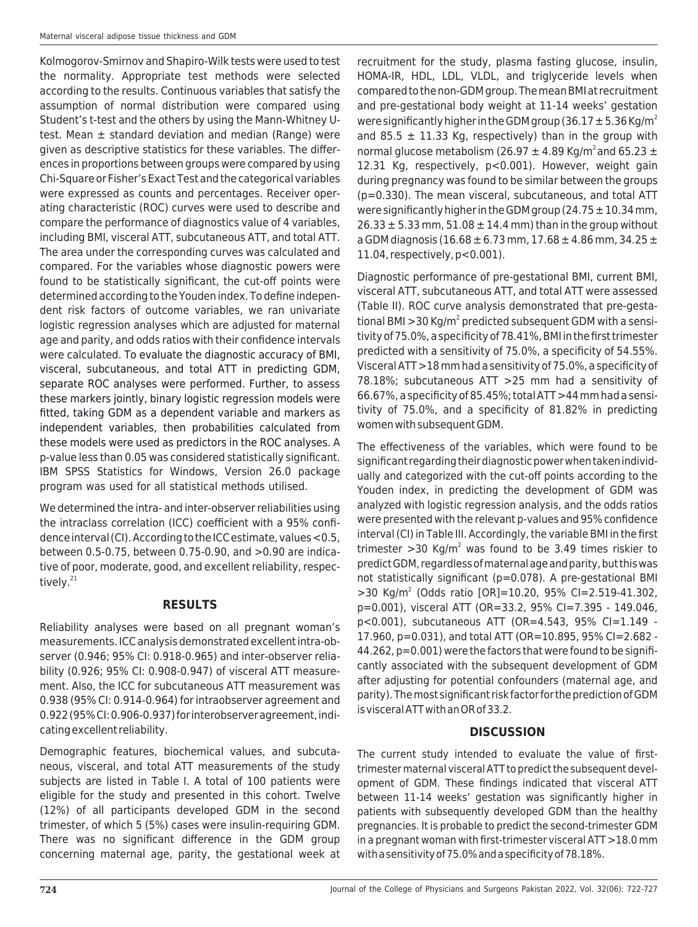Kolmogorov-Smirnov and Shapiro-Wilk tests were used to test the normality. Appropriate test methods were selected according to the results. Continuous variables that satisfy the assumption of normal distribution were compared using Student's t-test and the others by using the Mann-Whitney Utest. Mean ± standard deviation and median (Range) were given as descriptive statistics for these variables. The differences in proportions between groups were compared by using Chi-Square or Fisher's Exact Test and the categorical variables were expressed as counts and percentages. Receiver operating characteristic (ROC) curves were used to describe and compare the performance of diagnostics value of 4 variables, including BMI, visceral ATT, subcutaneous ATT, and total ATT. The area under the corresponding curves was calculated and compared. For the variables whose diagnostic powers were found to be statistically significant, the cut-off points were determined according to the Youden index. To define independent risk factors of outcome variables, we ran univariate logistic regression analyses which are adjusted for maternal age and parity, and odds ratios with their confidence intervals were calculated. To evaluate the diagnostic accuracy of BMI, visceral, subcutaneous, and total ATT in predicting GDM, separate ROC analyses were performed. Further, to assess these markers jointly, binary logistic regression models were fitted, taking GDM as a dependent variable and markers as independent variables, then probabilities calculated from these models were used as predictors in the ROC analyses. A p-value less than 0.05 was considered statistically significant. IBM SPSS Statistics for Windows, Version 26.0 package program was used for all statistical methods utilised.

We determined the intra- and inter-observer reliabilities using the intraclass correlation (ICC) coefficient with a 95% confidence interval (CI). According to the ICC estimate, values <0.5, between 0.5-0.75, between 0.75-0.90, and >0.90 are indicative of poor, moderate, good, and excellent reliability, respectively.<sup>21</sup>

## **RESULTS**

Reliability analyses were based on all pregnant woman's measurements. ICC analysis demonstrated excellent intra-observer (0.946; 95% CI: 0.918-0.965) and inter-observer reliability (0.926; 95% CI: 0.908-0.947) of visceral ATT measurement. Also, the ICC for subcutaneous ATT measurement was 0.938 (95% CI: 0.914-0.964) for intraobserver agreement and 0.922 (95% CI: 0.906-0.937) for interobserver agreement, indicating excellent reliability.

Demographic features, biochemical values, and subcutaneous, visceral, and total ATT measurements of the study subjects are listed in Table I. A total of 100 patients were eligible for the study and presented in this cohort. Twelve (12%) of all participants developed GDM in the second trimester, of which 5 (5%) cases were insulin-requiring GDM. There was no significant difference in the GDM group concerning maternal age, parity, the gestational week at

recruitment for the study, plasma fasting glucose, insulin, HOMA-IR, HDL, LDL, VLDL, and triglyceride levels when compared to the non-GDM group. The mean BMI at recruitment and pre-gestational body weight at 11-14 weeks' gestation were significantly higher in the GDM group (36.17  $\pm$  5.36 Kg/m<sup>2</sup> and 85.5  $\pm$  11.33 Kg, respectively) than in the group with normal glucose metabolism (26.97  $\pm$  4.89 Kg/m<sup>2</sup> and 65.23  $\pm$ 12.31 Kg, respectively, p<0.001). However, weight gain during pregnancy was found to be similar between the groups (p=0.330). The mean visceral, subcutaneous, and total ATT were significantly higher in the GDM group (24.75  $\pm$  10.34 mm,  $26.33 \pm 5.33$  mm,  $51.08 \pm 14.4$  mm) than in the group without a GDM diagnosis (16.68  $\pm$  6.73 mm, 17.68  $\pm$  4.86 mm, 34.25  $\pm$ 11.04, respectively, p<0.001).

Diagnostic performance of pre-gestational BMI, current BMI, visceral ATT, subcutaneous ATT, and total ATT were assessed (Table II). ROC curve analysis demonstrated that pre-gestational BMI > 30 Kg/m<sup>2</sup> predicted subsequent GDM with a sensitivity of 75.0%, a specificity of 78.41%, BMI in the first trimester predicted with a sensitivity of 75.0%, a specificity of 54.55%. Visceral ATT >18 mm had a sensitivity of 75.0%, a specificity of 78.18%; subcutaneous ATT >25 mm had a sensitivity of 66.67%, a specificity of 85.45%; total ATT >44 mm had a sensitivity of 75.0%, and a specificity of 81.82% in predicting women with subsequent GDM.

The effectiveness of the variables, which were found to be significant regarding their diagnostic power when taken individually and categorized with the cut-off points according to the Youden index, in predicting the development of GDM was analyzed with logistic regression analysis, and the odds ratios were presented with the relevant p-values and 95% confidence interval (CI) in Table III. Accordingly, the variable BMI in the first trimester >30 Kg/m<sup>2</sup> was found to be 3.49 times riskier to predict GDM, regardless of maternal age and parity, but this was not statistically significant (p=0.078). A pre-gestational BMI  $>$ 30 Kg/m<sup>2</sup> (Odds ratio [OR]=10.20, 95% CI=2.519-41.302, p=0.001), visceral ATT (OR=33.2, 95% CI=7.395 - 149.046, p<0.001), subcutaneous ATT (OR=4.543, 95% CI=1.149 - 17.960, p=0.031), and total ATT (OR=10.895, 95% CI=2.682 - 44.262, p=0.001) were the factors that were found to be significantly associated with the subsequent development of GDM after adjusting for potential confounders (maternal age, and parity). The most significant risk factor for the prediction of GDM is visceral ATT with an OR of 33.2.

## **DISCUSSION**

The current study intended to evaluate the value of firsttrimester maternal visceral ATT to predict the subsequent development of GDM. These findings indicated that visceral ATT between 11-14 weeks' gestation was significantly higher in patients with subsequently developed GDM than the healthy pregnancies. It is probable to predict the second-trimester GDM in a pregnant woman with first-trimester visceral ATT >18.0 mm with a sensitivity of 75.0% and a specificity of 78.18%.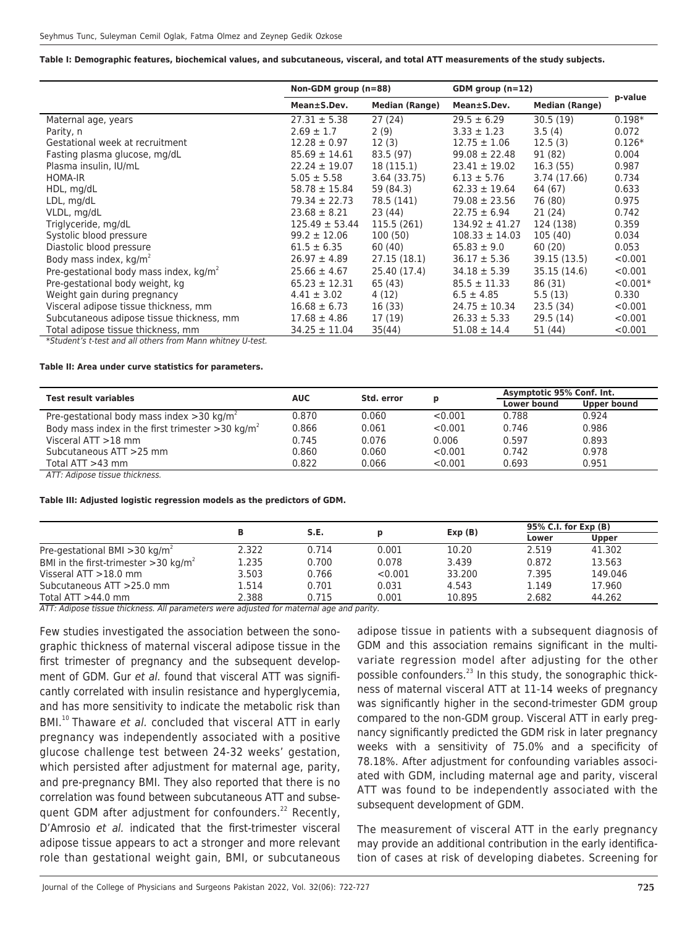**Table I: Demographic features, biochemical values, and subcutaneous, visceral, and total ATT measurements of the study subjects.**

|                                                            | Non-GDM group (n=88) |                       | GDM group $(n=12)$ |                       |            |  |
|------------------------------------------------------------|----------------------|-----------------------|--------------------|-----------------------|------------|--|
|                                                            | Mean±S.Dev.          | <b>Median (Range)</b> | Mean±S.Dev.        | <b>Median (Range)</b> | p-value    |  |
| Maternal age, years                                        | $27.31 \pm 5.38$     | 27(24)                | $29.5 \pm 6.29$    | 30.5(19)              | $0.198*$   |  |
| Parity, n                                                  | $2.69 \pm 1.7$       | 2(9)                  | $3.33 \pm 1.23$    | 3.5(4)                | 0.072      |  |
| Gestational week at recruitment                            | $12.28 \pm 0.97$     | 12(3)                 | $12.75 \pm 1.06$   | 12.5(3)               | $0.126*$   |  |
| Fasting plasma glucose, mg/dL                              | $85.69 \pm 14.61$    | 83.5 (97)             | $99.08 \pm 22.48$  | 91 (82)               | 0.004      |  |
| Plasma insulin, IU/mL                                      | $22.24 \pm 19.07$    | 18 (115.1)            | $23.41 \pm 19.02$  | 16.3(55)              | 0.987      |  |
| <b>HOMA-IR</b>                                             | $5.05 \pm 5.58$      | 3.64 (33.75)          | $6.13 \pm 5.76$    | 3.74 (17.66)          | 0.734      |  |
| HDL, mg/dL                                                 | $58.78 \pm 15.84$    | 59 (84.3)             | $62.33 \pm 19.64$  | 64 (67)               | 0.633      |  |
| LDL, mg/dL                                                 | $79.34 \pm 22.73$    | 78.5 (141)            | $79.08 \pm 23.56$  | 76 (80)               | 0.975      |  |
| VLDL, mg/dL                                                | $23.68 \pm 8.21$     | 23 (44)               | $22.75 \pm 6.94$   | 21 (24)               | 0.742      |  |
| Triglyceride, mg/dL                                        | $125.49 \pm 53.44$   | 115.5 (261)           | $134.92 \pm 41.27$ | 124 (138)             | 0.359      |  |
| Systolic blood pressure                                    | $99.2 \pm 12.06$     | 100 (50)              | $108.33 \pm 14.03$ | 105(40)               | 0.034      |  |
| Diastolic blood pressure                                   | $61.5 \pm 6.35$      | 60 (40)               | $65.83 \pm 9.0$    | 60 (20)               | 0.053      |  |
| Body mass index, kg/m <sup>2</sup>                         | $26.97 \pm 4.89$     | 27.15 (18.1)          | $36.17 \pm 5.36$   | 39.15 (13.5)          | < 0.001    |  |
| Pre-gestational body mass index, $kg/m2$                   | $25.66 \pm 4.67$     | 25.40 (17.4)          | $34.18 \pm 5.39$   | 35.15 (14.6)          | < 0.001    |  |
| Pre-gestational body weight, kg                            | $65.23 \pm 12.31$    | 65 (43)               | $85.5 \pm 11.33$   | 86 (31)               | $< 0.001*$ |  |
| Weight gain during pregnancy                               | $4.41 \pm 3.02$      | 4 (12)                | $6.5 \pm 4.85$     | 5.5(13)               | 0.330      |  |
| Visceral adipose tissue thickness, mm                      | $16.68 \pm 6.73$     | 16 (33)               | $24.75 \pm 10.34$  | 23.5(34)              | < 0.001    |  |
| Subcutaneous adipose tissue thickness, mm                  | $17.68 \pm 4.86$     | 17 (19)               | $26.33 \pm 5.33$   | 29.5(14)              | < 0.001    |  |
| Total adipose tissue thickness, mm                         | $34.25 \pm 11.04$    | 35(44)                | $51.08 \pm 14.4$   | 51 (44)               | < 0.001    |  |
| *Student's t-test and all others from Mann whitney U-test. |                      |                       |                    |                       |            |  |

**Table II: Area under curve statistics for parameters.**

|       |            | D          | Asymptotic 95% Conf. Int. |             |
|-------|------------|------------|---------------------------|-------------|
|       |            |            | Lower bound               | Upper bound |
| 0.870 | 0.060      | < 0.001    | 0.788                     | 0.924       |
| 0.866 | 0.061      | < 0.001    | 0.746                     | 0.986       |
| 0.745 | 0.076      | 0.006      | 0.597                     | 0.893       |
| 0.860 | 0.060      | < 0.001    | 0.742                     | 0.978       |
| 0.822 | 0.066      | < 0.001    | 0.693                     | 0.951       |
|       | <b>AUC</b> | Std. error |                           |             |

ATT: Adipose tissue thickness.

#### **Table III: Adjusted logistic regression models as the predictors of GDM.**

|                                                     | в     | S.E.  |         | Exp(B) | 95% C.I. for Exp (B) |              |
|-----------------------------------------------------|-------|-------|---------|--------|----------------------|--------------|
|                                                     |       |       |         |        | Lower                | <b>Upper</b> |
| Pre-gestational BMI $>$ 30 kg/m <sup>2</sup>        | 2.322 | 0.714 | 0.001   | 10.20  | 2.519                | 41.302       |
| BMI in the first-trimester $>$ 30 kg/m <sup>2</sup> | 1.235 | 0.700 | 0.078   | 3.439  | 0.872                | 13.563       |
| Visseral $ATT > 18.0$ mm                            | 3.503 | 0.766 | < 0.001 | 33.200 | 7.395                | 149.046      |
| Subcutaneous ATT > 25.0 mm                          | 1.514 | 0.701 | 0.031   | 4.543  | 1.149                | 17.960       |
| Total $ATT > 44.0$ mm                               | 2.388 | 0.715 | 0.001   | 10.895 | 2.682                | 44.262       |

ATT: Adipose tissue thickness. All parameters were adjusted for maternal age and parity.

Few studies investigated the association between the sonographic thickness of maternal visceral adipose tissue in the first trimester of pregnancy and the subsequent development of GDM. Gur et al. found that visceral ATT was significantly correlated with insulin resistance and hyperglycemia, and has more sensitivity to indicate the metabolic risk than BMI.<sup>10</sup> Thaware et al. concluded that visceral ATT in early pregnancy was independently associated with a positive glucose challenge test between 24-32 weeks' gestation, which persisted after adjustment for maternal age, parity, and pre-pregnancy BMI. They also reported that there is no correlation was found between subcutaneous ATT and subsequent GDM after adjustment for confounders.<sup>22</sup> Recently, D'Amrosio et al. indicated that the first-trimester visceral adipose tissue appears to act a stronger and more relevant role than gestational weight gain, BMI, or subcutaneous

adipose tissue in patients with a subsequent diagnosis of GDM and this association remains significant in the multivariate regression model after adjusting for the other possible confounders.<sup>23</sup> In this study, the sonographic thickness of maternal visceral ATT at 11-14 weeks of pregnancy was significantly higher in the second-trimester GDM group compared to the non-GDM group. Visceral ATT in early pregnancy significantly predicted the GDM risk in later pregnancy weeks with a sensitivity of 75.0% and a specificity of 78.18%. After adjustment for confounding variables associated with GDM, including maternal age and parity, visceral ATT was found to be independently associated with the subsequent development of GDM.

The measurement of visceral ATT in the early pregnancy may provide an additional contribution in the early identification of cases at risk of developing diabetes. Screening for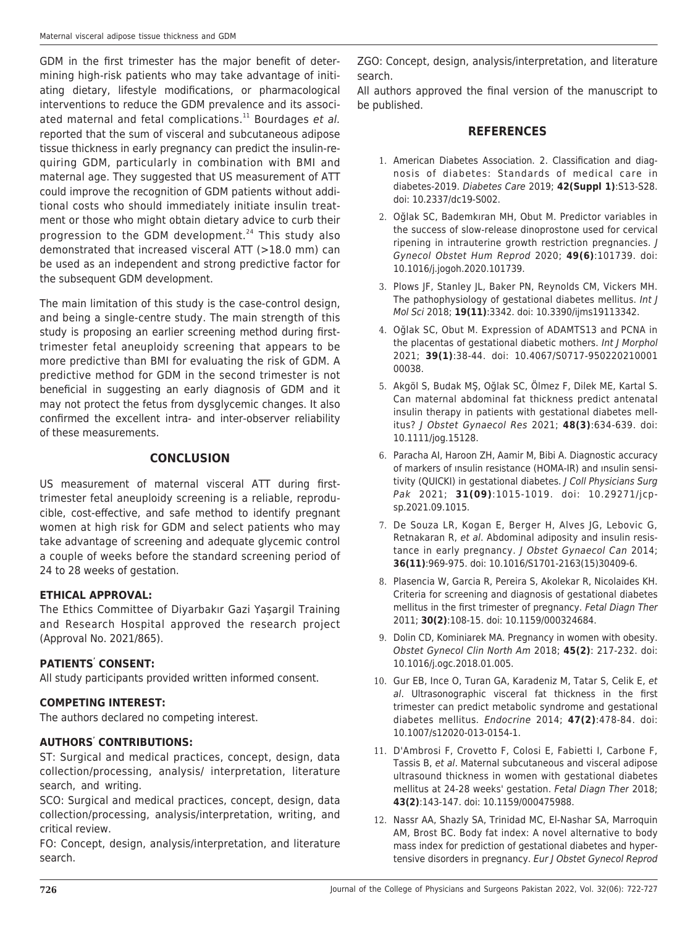GDM in the first trimester has the major benefit of determining high-risk patients who may take advantage of initiating dietary, lifestyle modifications, or pharmacological interventions to reduce the GDM prevalence and its associated maternal and fetal complications. $11$  Bourdages et al. reported that the sum of visceral and subcutaneous adipose tissue thickness in early pregnancy can predict the insulin-requiring GDM, particularly in combination with BMI and maternal age. They suggested that US measurement of ATT could improve the recognition of GDM patients without additional costs who should immediately initiate insulin treatment or those who might obtain dietary advice to curb their progression to the GDM development.<sup>24</sup> This study also demonstrated that increased visceral ATT (>18.0 mm) can be used as an independent and strong predictive factor for the subsequent GDM development.

The main limitation of this study is the case-control design, and being a single-centre study. The main strength of this study is proposing an earlier screening method during firsttrimester fetal aneuploidy screening that appears to be more predictive than BMI for evaluating the risk of GDM. A predictive method for GDM in the second trimester is not beneficial in suggesting an early diagnosis of GDM and it may not protect the fetus from dysglycemic changes. It also confirmed the excellent intra- and inter-observer reliability of these measurements.

### **CONCLUSION**

US measurement of maternal visceral ATT during firsttrimester fetal aneuploidy screening is a reliable, reproducible, cost-effective, and safe method to identify pregnant women at high risk for GDM and select patients who may take advantage of screening and adequate glycemic control a couple of weeks before the standard screening period of 24 to 28 weeks of gestation.

#### **ETHICAL APPROVAL:**

The Ethics Committee of Diyarbakır Gazi Yaşargil Training and Research Hospital approved the research project (Approval No. 2021/865).

#### **PATIENTS' CONSENT:**

All study participants provided written informed consent.

#### **COMPETING INTEREST:**

The authors declared no competing interest.

#### **AUTHORS' CONTRIBUTIONS:**

ST: Surgical and medical practices, concept, design, data collection/processing, analysis/ interpretation, literature search, and writing.

SCO: Surgical and medical practices, concept, design, data collection/processing, analysis/interpretation, writing, and critical review.

FO: Concept, design, analysis/interpretation, and literature search.

ZGO: Concept, design, analysis/interpretation, and literature search.

All authors approved the final version of the manuscript to be published.

#### **REFERENCES**

- 1. American Diabetes Association. 2. Classification and diagnosis of diabetes: Standards of medical care in diabetes-2019. Diabetes Care 2019; **42(Suppl 1)**:S13-S28. doi: 10.2337/dc19-S002.
- 2. Oğlak SC, Bademkıran MH, Obut M. Predictor variables in the success of slow-release dinoprostone used for cervical ripening in intrauterine growth restriction pregnancies. J Gynecol Obstet Hum Reprod 2020; **49(6)**:101739. doi: 10.1016/j.jogoh.2020.101739.
- 3. Plows JF, Stanley JL, Baker PN, Reynolds CM, Vickers MH. The pathophysiology of gestational diabetes mellitus. Int J Mol Sci 2018; **19(11)**:3342. doi: 10.3390/ijms19113342.
- 4. Oğlak SC, Obut M. Expression of ADAMTS13 and PCNA in the placentas of gestational diabetic mothers. Int J Morphol 2021; **39(1)**:38-44. doi: 10.4067/S0717-950220210001 00038.
- 5. Akgöl S, Budak MŞ, Oğlak SC, Ölmez F, Dilek ME, Kartal S. Can maternal abdominal fat thickness predict antenatal insulin therapy in patients with gestational diabetes mellitus? J Obstet Gynaecol Res 2021; **48(3)**:634-639. doi: 10.1111/jog.15128.
- 6. Paracha AI, Haroon ZH, Aamir M, Bibi A. Diagnostic accuracy of markers of ınsulin resistance (HOMA-IR) and ınsulin sensitivity (QUICKI) in gestational diabetes. J Coll Physicians Surg Pak 2021; **31(09)**:1015-1019. doi: 10.29271/jcpsp.2021.09.1015.
- 7. De Souza LR, Kogan E, Berger H, Alves JG, Lebovic G, Retnakaran R, et al. Abdominal adiposity and insulin resistance in early pregnancy. J Obstet Gynaecol Can 2014; **36(11)**:969-975. doi: 10.1016/S1701-2163(15)30409-6.
- 8. Plasencia W, Garcia R, Pereira S, Akolekar R, Nicolaides KH. Criteria for screening and diagnosis of gestational diabetes mellitus in the first trimester of pregnancy. Fetal Diagn Ther 2011; **30(2)**:108-15. doi: 10.1159/000324684.
- 9. Dolin CD, Kominiarek MA. Pregnancy in women with obesity. Obstet Gynecol Clin North Am 2018; **45(2)**: 217-232. doi: 10.1016/j.ogc.2018.01.005.
- 10. Gur EB, Ince O, Turan GA, Karadeniz M, Tatar S, Celik E, et al. Ultrasonographic visceral fat thickness in the first trimester can predict metabolic syndrome and gestational diabetes mellitus. Endocrine 2014; **47(2)**:478-84. doi: 10.1007/s12020-013-0154-1.
- 11. D'Ambrosi F, Crovetto F, Colosi E, Fabietti I, Carbone F, Tassis B, et al. Maternal subcutaneous and visceral adipose ultrasound thickness in women with gestational diabetes mellitus at 24-28 weeks' gestation. Fetal Diagn Ther 2018; **43(2)**:143-147. doi: 10.1159/000475988.
- 12. Nassr AA, Shazly SA, Trinidad MC, El-Nashar SA, Marroquin AM, Brost BC. Body fat index: A novel alternative to body mass index for prediction of gestational diabetes and hypertensive disorders in pregnancy. Eur J Obstet Gynecol Reprod